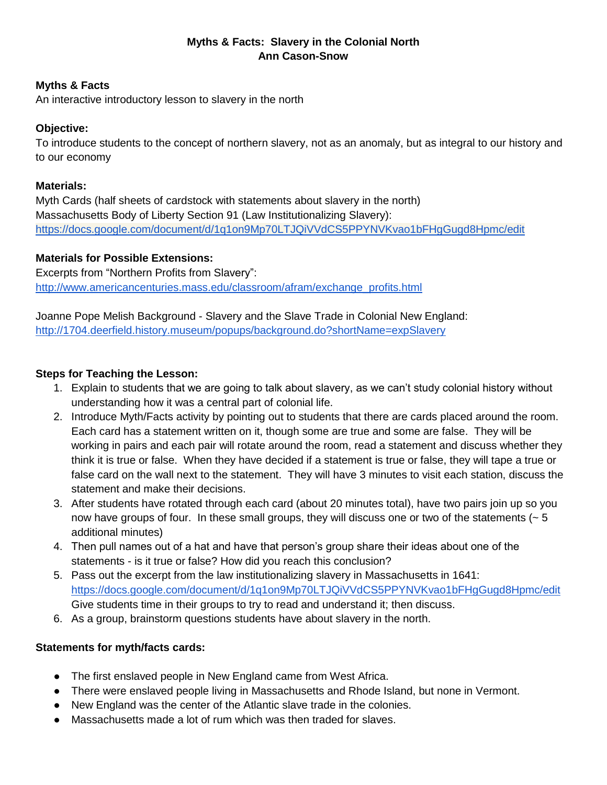# **Myths & Facts: Slavery in the Colonial North Ann Cason-Snow**

### **Myths & Facts**

An interactive introductory lesson to slavery in the north

### **Objective:**

To introduce students to the concept of northern slavery, not as an anomaly, but as integral to our history and to our economy

#### **Materials:**

Myth Cards (half sheets of cardstock with statements about slavery in the north) Massachusetts Body of Liberty Section 91 (Law Institutionalizing Slavery): <https://docs.google.com/document/d/1q1on9Mp70LTJQiVVdCS5PPYNVKvao1bFHgGugd8Hpmc/edit>

## **Materials for Possible Extensions:**

Excerpts from "Northern Profits from Slavery": [http://www.americancenturies.mass.edu/classroom/afram/exchange\\_profits.html](http://www.americancenturies.mass.edu/classroom/afram/exchange_profits.html)

Joanne Pope Melish Background - Slavery and the Slave Trade in Colonial New England: <http://1704.deerfield.history.museum/popups/background.do?shortName=expSlavery>

## **Steps for Teaching the Lesson:**

- 1. Explain to students that we are going to talk about slavery, as we can't study colonial history without understanding how it was a central part of colonial life.
- 2. Introduce Myth/Facts activity by pointing out to students that there are cards placed around the room. Each card has a statement written on it, though some are true and some are false. They will be working in pairs and each pair will rotate around the room, read a statement and discuss whether they think it is true or false. When they have decided if a statement is true or false, they will tape a true or false card on the wall next to the statement. They will have 3 minutes to visit each station, discuss the statement and make their decisions.
- 3. After students have rotated through each card (about 20 minutes total), have two pairs join up so you now have groups of four. In these small groups, they will discuss one or two of the statements (~ 5 additional minutes)
- 4. Then pull names out of a hat and have that person's group share their ideas about one of the statements - is it true or false? How did you reach this conclusion?
- 5. Pass out the excerpt from the law institutionalizing slavery in Massachusetts in 1641: <https://docs.google.com/document/d/1q1on9Mp70LTJQiVVdCS5PPYNVKvao1bFHgGugd8Hpmc/edit> Give students time in their groups to try to read and understand it; then discuss.
- 6. As a group, brainstorm questions students have about slavery in the north.

## **Statements for myth/facts cards:**

- The first enslaved people in New England came from West Africa.
- There were enslaved people living in Massachusetts and Rhode Island, but none in Vermont.
- New England was the center of the Atlantic slave trade in the colonies.
- Massachusetts made a lot of rum which was then traded for slaves.